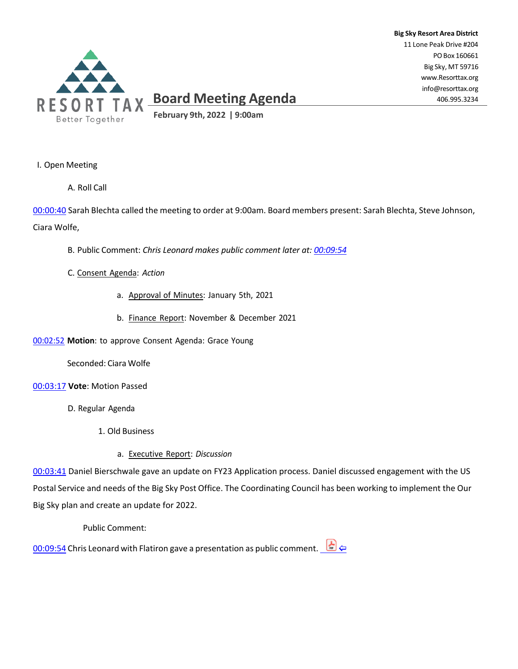

# **Board Meeting Agenda**

**Big Sky Resort Area District** 11 Lone Peak Drive #204 POBox 160661 Big Sky, MT 59716 [www.Resorttax.org](http://www.resorttax.org/) [info@resorttax.org](mailto:info@resorttax.org) 406.995.3234

**February 9th, 2022 | 9:00am**

# I. Open Meeting

A. Roll Call

00:00:40 Sarah Blechta called the meeting to order at 9:00am. Board members present: Sarah Blechta, Steve Johnson, Ciara Wolfe,

B. Public Comment: *Chris Leonard makes public comment later at: 00:09:54*

- C. Consent Agenda: *Action*
	- a. Approval of Minutes: January 5th, 2021
	- b. Finance Report: November & December 2021

00:02:52 **Motion**: to approve Consent Agenda: Grace Young

Seconded: Ciara Wolfe

- 00:03:17 **Vote**: Motion Passed
	- D. Regular Agenda
		- 1. Old Business
			- a. Executive Report: *Discussion*

00:03:41 Daniel Bierschwale gave an update on FY23 Application process. Daniel discussed engagement with the US Postal Service and needs of the Big Sky Post Office. The Coordinating Council has been working to implement the Our Big Sky plan and create an update for 2022.

Public Comment:

00:09:54 Chris Leonard with Flatiron gave a presentation as public comment.  $\Box \leftrightarrow$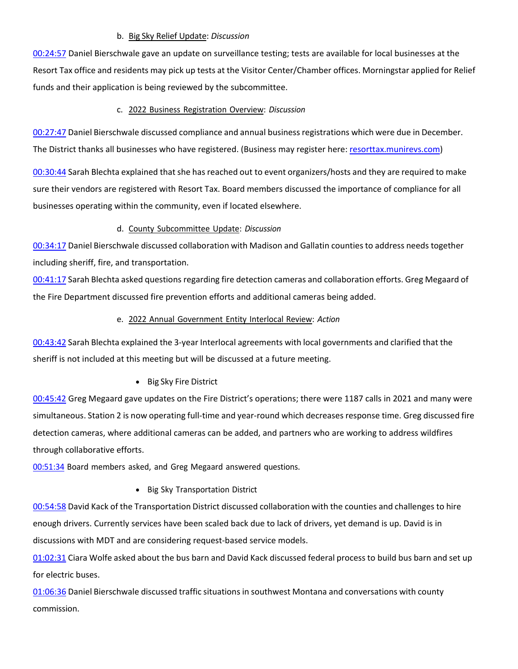#### b. Big Sky Relief Update: *Discussion*

00:24:57 Daniel Bierschwale gave an update on surveillance testing; tests are available for local businesses at the Resort Tax office and residents may pick up tests at the Visitor Center/Chamber offices. Morningstar applied for Relief funds and their application is being reviewed by the subcommittee.

# c. 2022 Business Registration Overview: *Discussion*

00:27:47 Daniel Bierschwale discussed compliance and annual business registrations which were due in December. The District thanks all businesses who have registered. (Business may register here: [resorttax.munirevs.com\)](https://resorttax.munirevs.com/)

00:30:44 Sarah Blechta explained that she has reached out to event organizers/hosts and they are required to make sure their vendors are registered with Resort Tax. Board members discussed the importance of compliance for all businesses operating within the community, even if located elsewhere.

# d. County Subcommittee Update: *Discussion*

00:34:17 Daniel Bierschwale discussed collaboration with Madison and Gallatin counties to address needs together including sheriff, fire, and transportation.

00:41:17 Sarah Blechta asked questions regarding fire detection cameras and collaboration efforts. Greg Megaard of the Fire Department discussed fire prevention efforts and additional cameras being added.

# e. 2022 Annual Government Entity Interlocal Review: *Action*

00:43:42 Sarah Blechta explained the 3-year Interlocal agreements with local governments and clarified that the sheriff is not included at this meeting but will be discussed at a future meeting.

• Big Sky Fire District

00:45:42 Greg Megaard gave updates on the Fire District's operations; there were 1187 calls in 2021 and many were simultaneous. Station 2 is now operating full-time and year-round which decreases response time. Greg discussed fire detection cameras, where additional cameras can be added, and partners who are working to address wildfires through collaborative efforts.

00:51:34 Board members asked, and Greg Megaard answered questions.

• Big Sky Transportation District

00:54:58 David Kack of the Transportation District discussed collaboration with the counties and challenges to hire enough drivers. Currently services have been scaled back due to lack of drivers, yet demand is up. David is in discussions with MDT and are considering request-based service models.

01:02:31 Ciara Wolfe asked about the bus barn and David Kack discussed federal process to build bus barn and set up for electric buses.

01:06:36 Daniel Bierschwale discussed traffic situations in southwest Montana and conversations with county commission.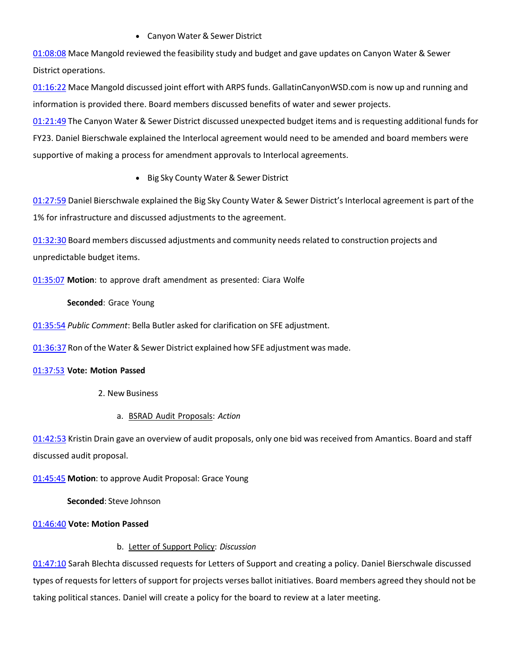# • Canyon Water & Sewer District

01:08:08 Mace Mangold reviewed the feasibility study and budget and gave updates on Canyon Water & Sewer District operations.

01:16:22 Mace Mangold discussed joint effort with ARPS funds. GallatinCanyonWSD.com is now up and running and information is provided there. Board members discussed benefits of water and sewer projects.

01:21:49 The Canyon Water & Sewer District discussed unexpected budget items and is requesting additional funds for FY23. Daniel Bierschwale explained the Interlocal agreement would need to be amended and board members were supportive of making a process for amendment approvals to Interlocal agreements.

• Big Sky County Water & Sewer District

01:27:59 Daniel Bierschwale explained the Big Sky County Water & Sewer District's Interlocal agreement is part of the 1% for infrastructure and discussed adjustments to the agreement.

01:32:30 Board members discussed adjustments and community needs related to construction projects and unpredictable budget items.

01:35:07 **Motion**: to approve draft amendment as presented: Ciara Wolfe

#### **Seconded**: Grace Young

01:35:54 *Public Comment*: Bella Butler asked for clarification on SFE adjustment.

01:36:37 Ron ofthe Water & Sewer District explained how SFE adjustment was made.

#### 01:37:53 **Vote: Motion Passed**

- 2. New Business
	- a. BSRAD Audit Proposals: *Action*

01:42:53 Kristin Drain gave an overview of audit proposals, only one bid was received from Amantics. Board and staff discussed audit proposal.

01:45:45 **Motion**: to approve Audit Proposal: Grace Young

**Seconded**: Steve Johnson

# 01:46:40 **Vote: Motion Passed**

# b. Letter of Support Policy: *Discussion*

01:47:10 Sarah Blechta discussed requests for Letters of Support and creating a policy. Daniel Bierschwale discussed types of requests for letters of support for projects verses ballot initiatives. Board members agreed they should not be taking political stances. Daniel will create a policy for the board to review at a later meeting.